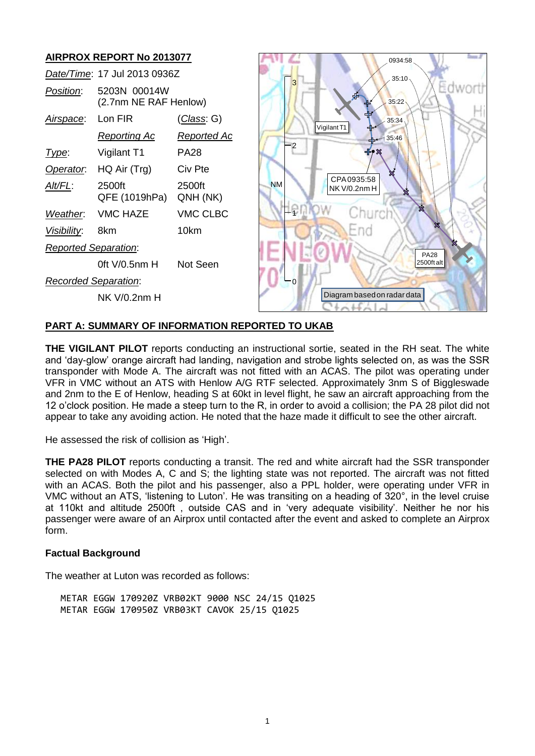

# **PART A: SUMMARY OF INFORMATION REPORTED TO UKAB**

**THE VIGILANT PILOT** reports conducting an instructional sortie, seated in the RH seat. The white and 'day-glow' orange aircraft had landing, navigation and strobe lights selected on, as was the SSR transponder with Mode A. The aircraft was not fitted with an ACAS. The pilot was operating under VFR in VMC without an ATS with Henlow A/G RTF selected. Approximately 3nm S of Biggleswade and 2nm to the E of Henlow, heading S at 60kt in level flight, he saw an aircraft approaching from the 12 o'clock position. He made a steep turn to the R, in order to avoid a collision; the PA 28 pilot did not appear to take any avoiding action. He noted that the haze made it difficult to see the other aircraft.

He assessed the risk of collision as 'High'.

**THE PA28 PILOT** reports conducting a transit. The red and white aircraft had the SSR transponder selected on with Modes A, C and S; the lighting state was not reported. The aircraft was not fitted with an ACAS. Both the pilot and his passenger, also a PPL holder, were operating under VFR in VMC without an ATS, 'listening to Luton'. He was transiting on a heading of 320°, in the level cruise at 110kt and altitude 2500ft , outside CAS and in 'very adequate visibility'. Neither he nor his passenger were aware of an Airprox until contacted after the event and asked to complete an Airprox form.

#### **Factual Background**

The weather at Luton was recorded as follows:

METAR EGGW 170920Z VRB02KT 9000 NSC 24/15 Q1025 METAR EGGW 170950Z VRB03KT CAVOK 25/15 Q1025